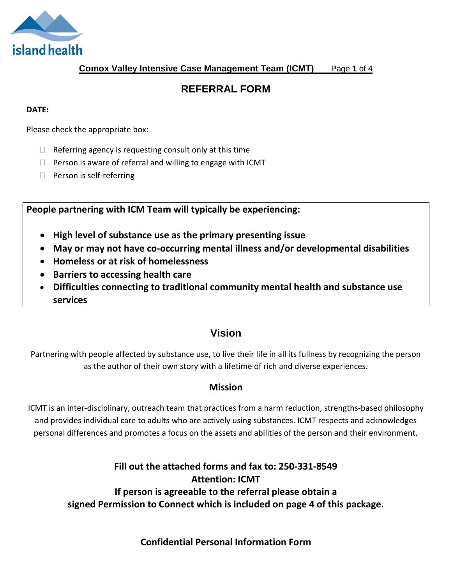

**Comox Valley Intensive Case Management Team (ICMT)** Page **1** of 4

# **REFERRAL FORM**

#### **DATE:**

Please check the appropriate box:

- $\Box$  Referring agency is requesting consult only at this time
- $\Box$  Person is aware of referral and willing to engage with ICMT
- $\Box$  Person is self-referring

**People partnering with ICM Team will typically be experiencing:** 

- **High level of substance use as the primary presenting issue**
- **May or may not have co-occurring mental illness and/or developmental disabilities**
- **Homeless or at risk of homelessness**
- **Barriers to accessing health care**
- **Difficulties connecting to traditional community mental health and substance use services**

## **Vision**

Partnering with people affected by substance use, to live their life in all its fullness by recognizing the person as the author of their own story with a lifetime of rich and diverse experiences.

### **Mission**

ICMT is an inter-disciplinary, outreach team that practices from a harm reduction, strengths-based philosophy and provides individual care to adults who are actively using substances. ICMT respects and acknowledges personal differences and promotes a focus on the assets and abilities of the person and their environment.

> **Fill out the attached forms and fax to: 250-331-8549 Attention: ICMT If person is agreeable to the referral please obtain a signed Permission to Connect which is included on page 4 of this package.**

> > **Confidential Personal Information Form**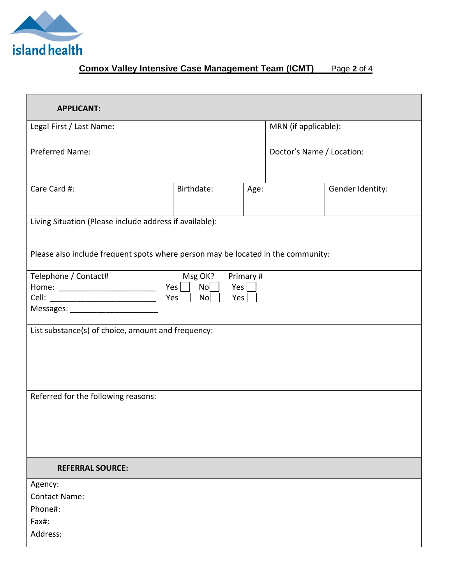

## **Comox Valley Intensive Case Management Team (ICMT)** Page **2** of 4

| <b>APPLICANT:</b>                                                                                                          |            |      |                           |                  |
|----------------------------------------------------------------------------------------------------------------------------|------------|------|---------------------------|------------------|
| Legal First / Last Name:                                                                                                   |            |      | MRN (if applicable):      |                  |
| Preferred Name:                                                                                                            |            |      | Doctor's Name / Location: |                  |
| Care Card #:                                                                                                               | Birthdate: | Age: |                           | Gender Identity: |
| Living Situation (Please include address if available):                                                                    |            |      |                           |                  |
| Please also include frequent spots where person may be located in the community:                                           |            |      |                           |                  |
| Telephone / Contact#<br>Msg OK?<br>Primary #<br>N <sub>O</sub><br>Yes<br>No<br>Yes  <br>Messages: ________________________ |            |      |                           |                  |
| List substance(s) of choice, amount and frequency:                                                                         |            |      |                           |                  |
| Referred for the following reasons:                                                                                        |            |      |                           |                  |
| <b>REFERRAL SOURCE:</b>                                                                                                    |            |      |                           |                  |
| Agency:<br><b>Contact Name:</b><br>Phone#:<br>Fax#:<br>Address:                                                            |            |      |                           |                  |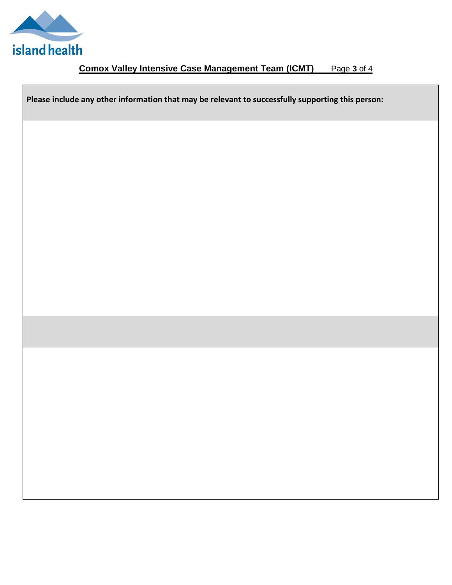

## **Comox Valley Intensive Case Management Team (ICMT)** Page **3** of 4

**Please include any other information that may be relevant to successfully supporting this person:**